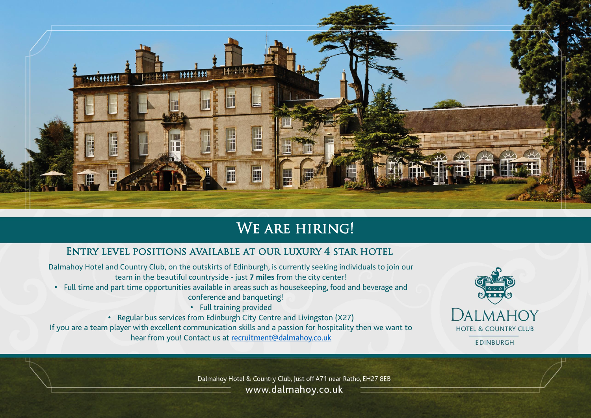

### We are hiring!

### Entry level positions available at our luxury 4 star hotel

Dalmahoy Hotel and Country Club, on the outskirts of Edinburgh, is currently seeking individuals to join our team in the beautiful countryside - just **7 miles** from the city center!

- Full time and part time opportunities available in areas such as housekeeping, food and beverage and conference and banqueting!
	- Full training provided

• Regular bus services from Edinburgh City Centre and Livingston (X27) If you are a team player with excellent communication skills and a passion for hospitality then we want to hear from you! Contact us at [recruitment@dalmahoy.co.uk](mailto:recruitment@dalmahoy.co.uk)



Dalmahoy Hotel & Country Club, Just off A71 near Ratho, EH27 8EB www.dalmahoy.co.uk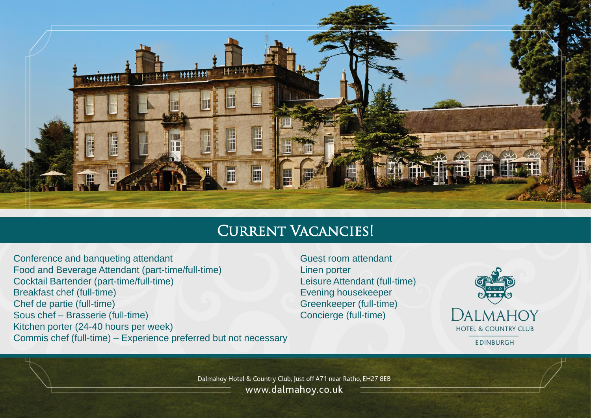

## Current Vacancies!

Conference and banqueting attendant Food and Beverage Attendant (part-time/full-time) Cocktail Bartender (part-time/full-time) Breakfast chef (full-time) Chef de partie (full-time) Sous chef – Brasserie (full-time) Kitchen porter (24-40 hours per week) Commis chef (full-time) – Experience preferred but not necessary Guest room attendant Linen porter Leisure Attendant (full-time) Evening housekeeper Greenkeeper (full-time) Concierge (full-time)



Dalmahoy Hotel & Country Club, Just off A71 near Ratho, EH27 8EB www.dalmahoy.co.uk